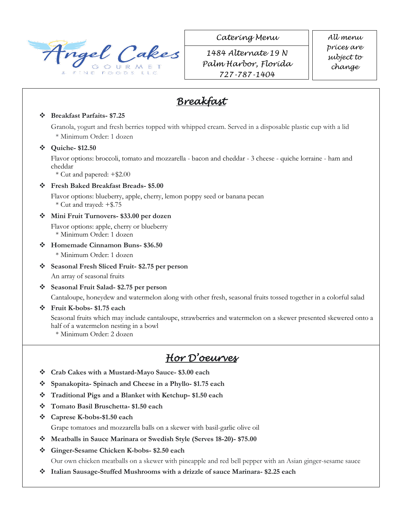

*Catering Menu All menu* 

*1484 Alternate 19 N Palm Harbor, Florida 727-787-1404*

*prices are subject to change* 

## *Breakfast*

#### **Breakfast Parfaits- \$7.25**

Granola, yogurt and fresh berries topped with whipped cream. Served in a disposable plastic cup with a lid \* Minimum Order: 1 dozen

#### **Quiche- \$12.50**

Flavor options: broccoli, tomato and mozzarella - bacon and cheddar - 3 cheese - quiche lorraine - ham and cheddar

\* Cut and papered: +\$2.00

#### **Fresh Baked Breakfast Breads- \$5.00**

Flavor options: blueberry, apple, cherry, lemon poppy seed or banana pecan \* Cut and trayed: +\$.75

- **Mini Fruit Turnovers- \$33.00 per dozen** 
	- Flavor options: apple, cherry or blueberry

\* Minimum Order: 1 dozen

### **Homemade Cinnamon Buns- \$36.50**

\* Minimum Order: 1 dozen

**Seasonal Fresh Sliced Fruit- \$2.75 per person**

An array of seasonal fruits

**Seasonal Fruit Salad- \$2.75 per person**

Cantaloupe, honeydew and watermelon along with other fresh, seasonal fruits tossed together in a colorful salad

### **Fruit K-bobs- \$1.75 each**

Seasonal fruits which may include cantaloupe, strawberries and watermelon on a skewer presented skewered onto a half of a watermelon nesting in a bowl

\* Minimum Order: 2 dozen

## *Hor D'oeurves*

- **Crab Cakes with a Mustard-Mayo Sauce- \$3.00 each**
- **Spanakopita- Spinach and Cheese in a Phyllo- \$1.75 each**
- **Traditional Pigs and a Blanket with Ketchup- \$1.50 each**
- **Tomato Basil Bruschetta- \$1.50 each**
- **Caprese K-bobs-\$1.50 each**

Grape tomatoes and mozzarella balls on a skewer with basil-garlic olive oil

- **Meatballs in Sauce Marinara or Swedish Style (Serves 18-20)- \$75.00**
- **Ginger-Sesame Chicken K-bobs- \$2.50 each**

Our own chicken meatballs on a skewer with pineapple and red bell pepper with an Asian ginger-sesame sauce

**Chicken Cacciatore**- \$13.50

 $\bullet$  Italian Sausage-Stuffed Mushrooms with a drizzle of sauce Marinara- \$2.25 each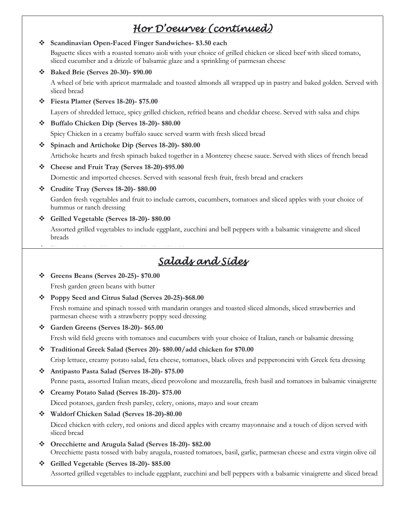## *Hor D'oeurves (continued)*

**Scandinavian Open-Faced Finger Sandwiches- \$3.50 each**

Baguette slices with a roasted tomato aioli with your choice of grilled chicken or sliced beef with sliced tomato, sliced cucumber and a drizzle of balsamic glaze and a sprinkling of parmesan cheese

**Baked Brie (Serves 20-30)- \$90.00**

A wheel of brie with apricot marmalade and toasted almonds all wrapped up in pastry and baked golden. Served with sliced bread

**Fiesta Platter (Serves 18-20)- \$75.00**

Layers of shredded lettuce, spicy grilled chicken, refried beans and cheddar cheese. Served with salsa and chips

**Buffalo Chicken Dip (Serves 18-20)- \$80.00**

Spicy Chicken in a creamy buffalo sauce served warm with fresh sliced bread

**Spinach and Artichoke Dip (Serves 18-20)- \$80.00**

Artichoke hearts and fresh spinach baked together in a Monterey cheese sauce. Served with slices of french bread

**Cheese and Fruit Tray (Serves 18-20)-\$95.00**

Domestic and imported cheeses. Served with seasonal fresh fruit, fresh bread and crackers

**Crudite Tray (Serves 18-20)- \$80.00**

Garden fresh vegetables and fruit to include carrots, cucumbers, tomatoes and sliced apples with your choice of hummus or ranch dressing

**Grilled Vegetable (Serves 18-20)- \$80.00**

**Pineapple Palm Tree (Serves 20-50)- \$175.00**

Assorted grilled vegetables to include eggplant, zucchini and bell peppers with a balsamic vinaigrette and sliced breads

## 3.5 foot palm tree made from pineapples with fresh seasonal fruit covering it. Served with chocolate dipping sauce *Salads and Sides*

- **Greens Beans (Serves 20-25)- \$70.00** Fresh garden green beans with butter
- **Poppy Seed and Citrus Salad (Serves 20-25)-\$68.00**

Fresh romaine and spinach tossed with mandarin oranges and toasted sliced almonds, sliced strawberries and parmesan cheese with a strawberry poppy seed dressing

**Garden Greens (Serves 18-20)- \$65.00**

Fresh wild field greens with tomatoes and cucumbers with your choice of Italian, ranch or balsamic dressing

 **Traditional Greek Salad (Serves 20)- \$80.00/add chicken for \$70.00** Crisp lettuce, creamy potato salad, feta cheese, tomatoes, black olives and pepperoncini with Greek feta dressing

 **Antipasto Pasta Salad (Serves 18-20)- \$75.00** Penne pasta, assorted Italian meats, diced provolone and mozzarella, fresh basil and tomatoes in balsamic vinaigrette

- **Creamy Potato Salad (Serves 18-20)- \$75.00** Diced potatoes, garden fresh parsley, celery, onions, mayo and sour cream
- **Waldorf Chicken Salad (Serves 18-20)-80.00**

Diced chicken with celery, red onions and diced apples with creamy mayonnaise and a touch of dijon served with sliced bread

- **Orecchiette and Arugula Salad (Serves 18-20)- \$82.00** Orecchiette pasta tossed with baby arugula, roasted tomatoes, basil, garlic, parmesan cheese and extra virgin olive oil
- **Grilled Vegetable (Serves 18-20)- \$85.00** Assorted grilled vegetables to include eggplant, zucchini and bell peppers with a balsamic vinaigrette and sliced bread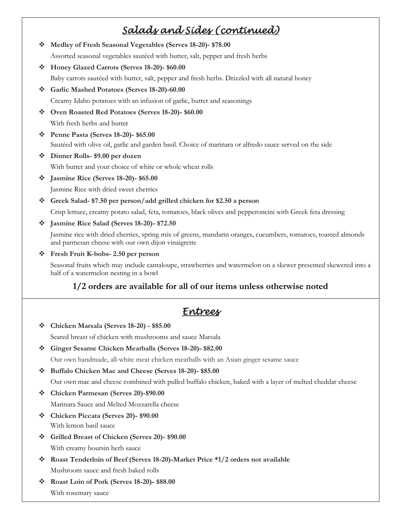# *Salads and Sides (continued)*

- **Medley of Fresh Seasonal Vegetables (Serves 18-20)- \$78.00** Assorted seasonal vegetables sautéed with butter, salt, pepper and fresh herbs
- **Honey Glazed Carrots (Serves 18-20)- \$60.00** Baby carrots sautéed with butter, salt, pepper and fresh herbs. Drizzled with all natural honey
- **Garlic Mashed Potatoes (Serves 18-20)-60.00**

Creamy Idaho potatoes with an infusion of garlic, butter and seasonings

- **Oven Roasted Red Potatoes (Serves 18-20)- \$60.00** With fresh herbs and butter
- **Penne Pasta (Serves 18-20)- \$65.00** Sautéed with olive oil, garlic and garden basil. Choice of marinara or alfredo sauce served on the side
- **Dinner Rolls- \$9.00 per dozen**

With butter and your choice of white or whole wheat rolls

**Jasmine Rice (Serves 18-20)- \$65.00**

Jasmine Rice with dried sweet cherries

**Greek Salad- \$7.50 per person/add grilled chicken for \$2.50 a person**

Crisp lettuce, creamy potato salad, feta, tomatoes, black olives and pepperoncini with Greek feta dressing

**Jasmine Rice Salad (Serves 18-20)- \$72.50**

Jasmine rice with dried cherries, spring mix of greens, mandarin oranges, cucumbers, tomatoes, toasted almonds and parmesan cheese with our own dijon vinaigrette

**Fresh Fruit K-bobs- 2.50 per person**

Seasonal fruits which may include cantaloupe, strawberries and watermelon on a skewer presented skewered into a half of a watermelon nesting in a bowl

### **1/2 orders are available for all of our items unless otherwise noted**

## *Entrees*

**Chicken Marsala (Serves 18-20) - \$85.00**

Seared breast of chicken with mushrooms and sauce Marsala

**Ginger Sesame Chicken Meatballs (Serves 18-20)- \$82.00**

Our own handmade, all-white meat chicken meatballs with an Asian ginger sesame sauce

**Buffalo Chicken Mac and Cheese (Serves 18-20)- \$85.00**

Our own mac and cheese combined with pulled buffalo chicken, baked with a layer of melted cheddar cheese

**Chicken Parmesan (Serves 20)-\$90.00**

Marinara Sauce and Melted Mozzarella cheese

- **Chicken Piccata (Serves 20)- \$90.00** With lemon basil sauce
- **Grilled Breast of Chicken (Serves 20)- \$90.00** With creamy boursin herb sauce
- **Roast Tenderloin of Beef (Serves 18-20)-Market Price \*1/2 orders not available** Mushroom sauce and fresh baked rolls
- **Roast Loin of Pork (Serves 18-20)- \$88.00**

With rosemary sauce